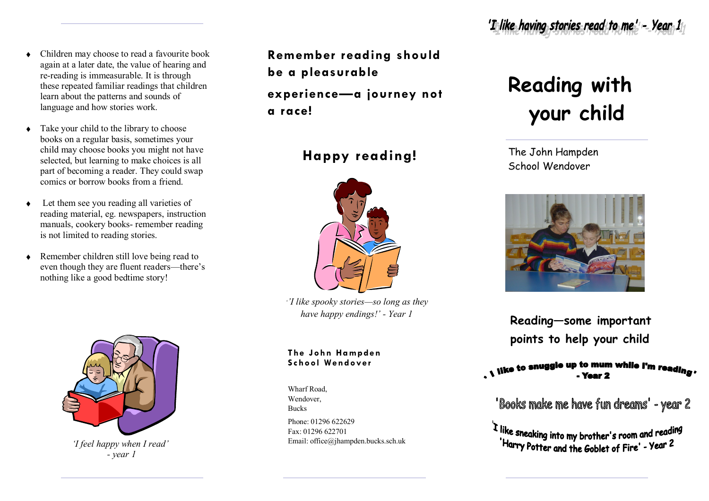- Children may choose to read a favourite book  $\blacklozenge$ again at a later date, the value of hearing and re-reading is immeasurable. It is through these repeated familiar readings that children learn about the patterns and sounds of language and how stories work.
- Take your child to the library to choose  $\blacklozenge$ books on a regular basis, sometimes your child may choose books you might not have selected, but learning to make choices is all part of becoming a reader. They could swap comics or borrow books from a friend.
- Let them see you reading all varieties of  $\bullet$ reading material, eg. newspapers, instruction manuals, cookery books- remember reading is not limited to reading stories.
- Remember children still love being read to even though they are fluent readers—there's nothing like a good bedtime story!



*'I feel happy when I read' - year 1*

**Remember reading should be a pleasurable experience—a journey not a race!**

**Happy reading!**



*''I like spooky stories—so long as they have happy endings!' - Year 1*

## **The J ohn Hampden Sc hool Wendover**

Wharf Road, Wendover Bucks

Phone: 01296 622629 Fax: 01296 622701 Email: office@jhampden.bucks.sch.uk

## **Reading with your child**

The John Hampden School Wendover



**Reading—some important points to help your child**

"Books make me have fun dreams" - year 2

I like sneaking into my brother's room and reading<br>"Harry Potter and the Goblet of Fire' - Year 2